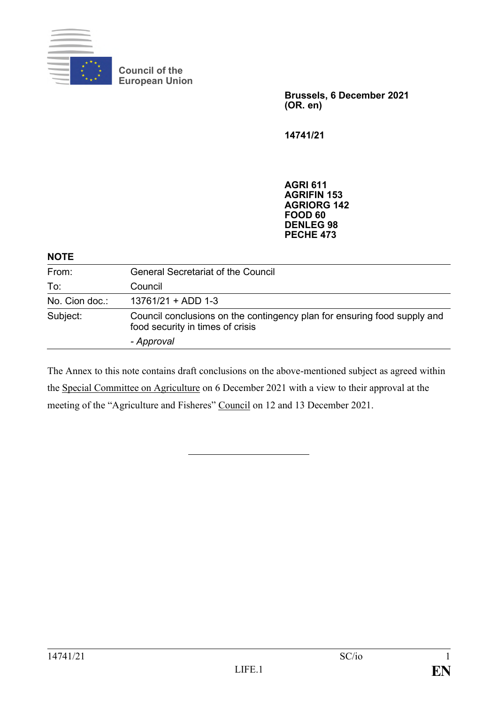

**Council of the European Union**

> **Brussels, 6 December 2021 (OR. en)**

**14741/21**

**AGRI 611 AGRIFIN 153 AGRIORG 142 FOOD 60 DENLEG 98 PECHE 473**

## **NOTE**

| From:          | <b>General Secretariat of the Council</b>                                                                    |
|----------------|--------------------------------------------------------------------------------------------------------------|
| To:            | Council                                                                                                      |
| No. Cion doc.: | $13761/21 + ADD 1-3$                                                                                         |
| Subject:       | Council conclusions on the contingency plan for ensuring food supply and<br>food security in times of crisis |
|                | - Approval                                                                                                   |

The Annex to this note contains draft conclusions on the above-mentioned subject as agreed within the Special Committee on Agriculture on 6 December 2021 with a view to their approval at the meeting of the "Agriculture and Fisheres" Council on 12 and 13 December 2021.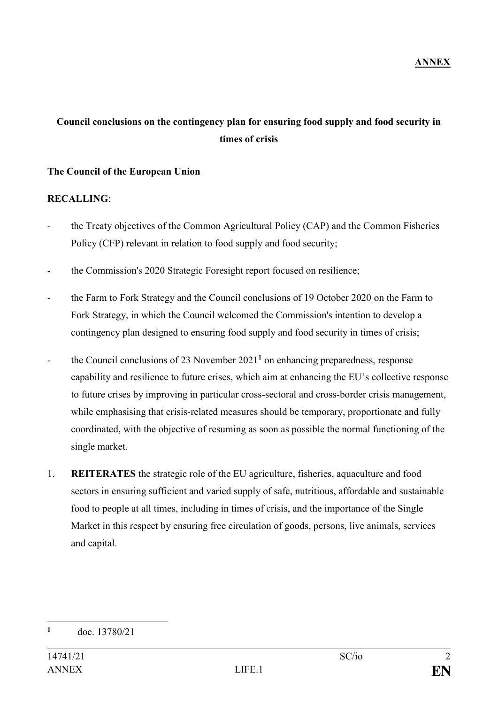## **Council conclusions on the contingency plan for ensuring food supply and food security in times of crisis**

## **The Council of the European Union**

## **RECALLING**:

- the Treaty objectives of the Common Agricultural Policy (CAP) and the Common Fisheries Policy (CFP) relevant in relation to food supply and food security;
- the Commission's 2020 Strategic Foresight report focused on resilience;
- the Farm to Fork Strategy and the Council conclusions of 19 October 2020 on the Farm to Fork Strategy, in which the Council welcomed the Commission's intention to develop a contingency plan designed to ensuring food supply and food security in times of crisis;
- the Council conclusions of 23 November 2021<sup>1</sup> on enhancing preparedness, response capability and resilience to future crises, which aim at enhancing the EU's collective response to future crises by improving in particular cross-sectoral and cross-border crisis management, while emphasising that crisis-related measures should be temporary, proportionate and fully coordinated, with the objective of resuming as soon as possible the normal functioning of the single market.
- 1. **REITERATES** the strategic role of the EU agriculture, fisheries, aquaculture and food sectors in ensuring sufficient and varied supply of safe, nutritious, affordable and sustainable food to people at all times, including in times of crisis, and the importance of the Single Market in this respect by ensuring free circulation of goods, persons, live animals, services and capital.

<sup>&</sup>lt;u>.</u> **<sup>1</sup>** doc. 13780/21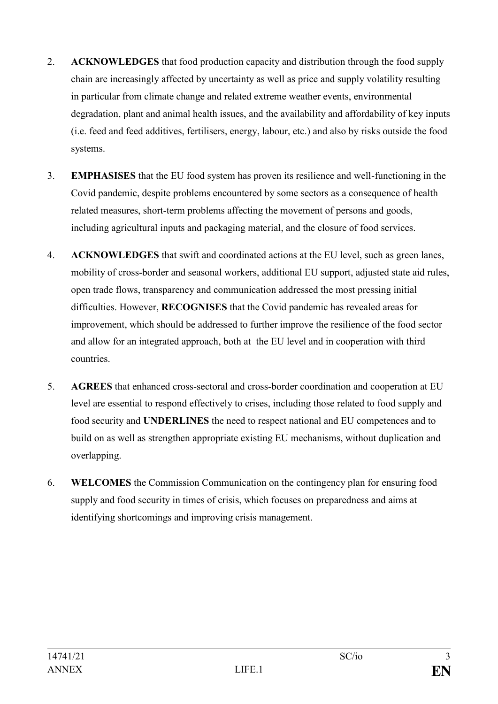- 2. **ACKNOWLEDGES** that food production capacity and distribution through the food supply chain are increasingly affected by uncertainty as well as price and supply volatility resulting in particular from climate change and related extreme weather events, environmental degradation, plant and animal health issues, and the availability and affordability of key inputs (i.e. feed and feed additives, fertilisers, energy, labour, etc.) and also by risks outside the food systems.
- 3. **EMPHASISES** that the EU food system has proven its resilience and well-functioning in the Covid pandemic, despite problems encountered by some sectors as a consequence of health related measures, short-term problems affecting the movement of persons and goods, including agricultural inputs and packaging material, and the closure of food services.
- 4. **ACKNOWLEDGES** that swift and coordinated actions at the EU level, such as green lanes, mobility of cross-border and seasonal workers, additional EU support, adjusted state aid rules, open trade flows, transparency and communication addressed the most pressing initial difficulties. However, **RECOGNISES** that the Covid pandemic has revealed areas for improvement, which should be addressed to further improve the resilience of the food sector and allow for an integrated approach, both at the EU level and in cooperation with third countries.
- 5. **AGREES** that enhanced cross-sectoral and cross-border coordination and cooperation at EU level are essential to respond effectively to crises, including those related to food supply and food security and **UNDERLINES** the need to respect national and EU competences and to build on as well as strengthen appropriate existing EU mechanisms, without duplication and overlapping.
- 6. **WELCOMES** the Commission Communication on the contingency plan for ensuring food supply and food security in times of crisis, which focuses on preparedness and aims at identifying shortcomings and improving crisis management.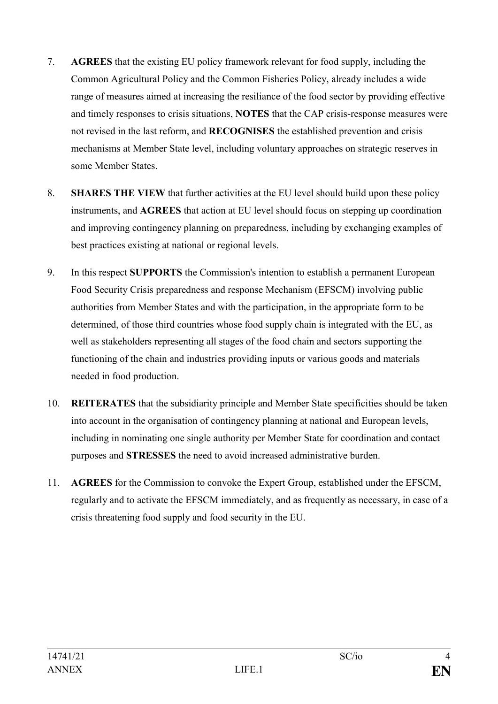- 7. **AGREES** that the existing EU policy framework relevant for food supply, including the Common Agricultural Policy and the Common Fisheries Policy, already includes a wide range of measures aimed at increasing the resiliance of the food sector by providing effective and timely responses to crisis situations, **NOTES** that the CAP crisis-response measures were not revised in the last reform, and **RECOGNISES** the established prevention and crisis mechanisms at Member State level, including voluntary approaches on strategic reserves in some Member States.
- 8. **SHARES THE VIEW** that further activities at the EU level should build upon these policy instruments, and **AGREES** that action at EU level should focus on stepping up coordination and improving contingency planning on preparedness, including by exchanging examples of best practices existing at national or regional levels.
- 9. In this respect **SUPPORTS** the Commission's intention to establish a permanent European Food Security Crisis preparedness and response Mechanism (EFSCM) involving public authorities from Member States and with the participation, in the appropriate form to be determined, of those third countries whose food supply chain is integrated with the EU, as well as stakeholders representing all stages of the food chain and sectors supporting the functioning of the chain and industries providing inputs or various goods and materials needed in food production.
- 10. **REITERATES** that the subsidiarity principle and Member State specificities should be taken into account in the organisation of contingency planning at national and European levels, including in nominating one single authority per Member State for coordination and contact purposes and **STRESSES** the need to avoid increased administrative burden.
- 11. **AGREES** for the Commission to convoke the Expert Group, established under the EFSCM, regularly and to activate the EFSCM immediately, and as frequently as necessary, in case of a crisis threatening food supply and food security in the EU.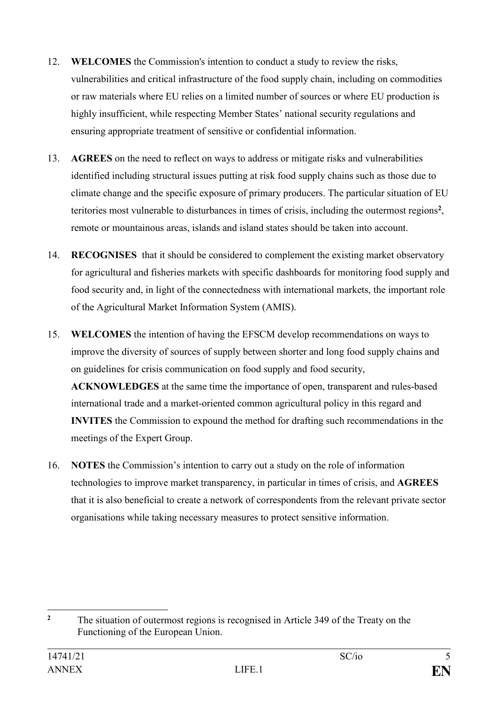- 12. **WELCOMES** the Commission's intention to conduct a study to review the risks, vulnerabilities and critical infrastructure of the food supply chain, including on commodities or raw materials where EU relies on a limited number of sources or where EU production is highly insufficient, while respecting Member States' national security regulations and ensuring appropriate treatment of sensitive or confidential information.
- 13. **AGREES** on the need to reflect on ways to address or mitigate risks and vulnerabilities identified including structural issues putting at risk food supply chains such as those due to climate change and the specific exposure of primary producers. The particular situation of EU teritories most vulnerable to disturbances in times of crisis, including the outermost regions**<sup>2</sup>** , remote or mountainous areas, islands and island states should be taken into account.
- 14. **RECOGNISES** that it should be considered to complement the existing market observatory for agricultural and fisheries markets with specific dashboards for monitoring food supply and food security and, in light of the connectedness with international markets, the important role of the Agricultural Market Information System (AMIS).
- 15. **WELCOMES** the intention of having the EFSCM develop recommendations on ways to improve the diversity of sources of supply between shorter and long food supply chains and on guidelines for crisis communication on food supply and food security, **ACKNOWLEDGES** at the same time the importance of open, transparent and rules-based international trade and a market-oriented common agricultural policy in this regard and **INVITES** the Commission to expound the method for drafting such recommendations in the meetings of the Expert Group.
- 16. **NOTES** the Commission's intention to carry out a study on the role of information technologies to improve market transparency, in particular in times of crisis, and **AGREES**  that it is also beneficial to create a network of correspondents from the relevant private sector organisations while taking necessary measures to protect sensitive information.

 $\overline{2}$ **<sup>2</sup>** The situation of outermost regions is recognised in Article 349 of the Treaty on the Functioning of the European Union.